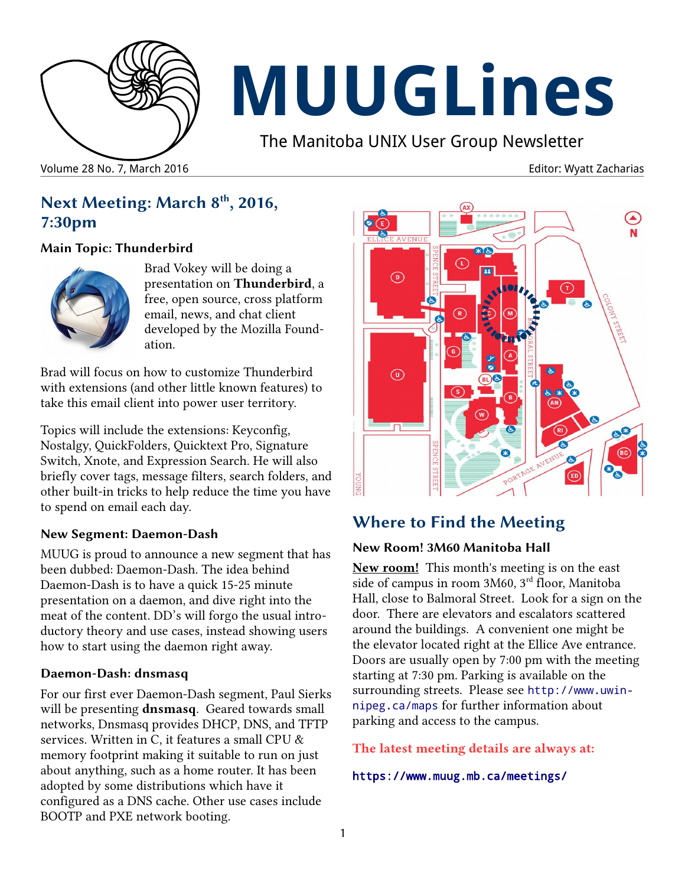

# **MUUGLines**

The Manitoba UNIX User Group Newsletter

Volume 28 No. 7, March 2016 **Editor: Wyatt Zacharias** No. 2016

## **Next Meeting: March 8th, 2016, 7:30pm**

#### **Main Topic: Thunderbird**



Brad Vokey will be doing a presentation on **Thunderbird**, a free, open source, cross platform email, news, and chat client developed by the Mozilla Foundation.

Brad will focus on how to customize Thunderbird with extensions (and other little known features) to take this email client into power user territory.

Topics will include the extensions: Keyconfig, Nostalgy, QuickFolders, Quicktext Pro, Signature Switch, Xnote, and Expression Search. He will also briefly cover tags, message filters, search folders, and other built-in tricks to help reduce the time you have to spend on email each day.

#### **New Segment: Daemon-Dash**

MUUG is proud to announce a new segment that has been dubbed: Daemon-Dash. The idea behind Daemon-Dash is to have a quick 15-25 minute presentation on a daemon, and dive right into the meat of the content. DD's will forgo the usual introductory theory and use cases, instead showing users how to start using the daemon right away.

#### **Daemon-Dash: dnsmasq**

For our first ever Daemon-Dash segment, Paul Sierks will be presenting **dnsmasq**. Geared towards small networks, Dnsmasq provides DHCP, DNS, and TFTP services. Written in C, it features a small CPU & memory footprint making it suitable to run on just about anything, such as a home router. It has been adopted by some distributions which have it configured as a DNS cache. Other use cases include BOOTP and PXE network booting.



# **Where to Find the Meeting**

## **New Room! 3M60 Manitoba Hall**

**New room!** This month's meeting is on the east side of campus in room 3M60, 3rd floor, Manitoba Hall, close to Balmoral Street. Look for a sign on the door. There are elevators and escalators scattered around the buildings. A convenient one might be the elevator located right at the Ellice Ave entrance. Doors are usually open by 7:00 pm with the meeting starting at 7:30 pm. Parking is available on the surrounding streets. Please see [http://www.uwin](http://www.uwinnipeg.ca/maps)[nipeg.ca/maps](http://www.uwinnipeg.ca/maps) for further information about parking and access to the campus.

#### **The latest meeting details are always at:**

#### <https://www.muug.mb.ca/meetings/>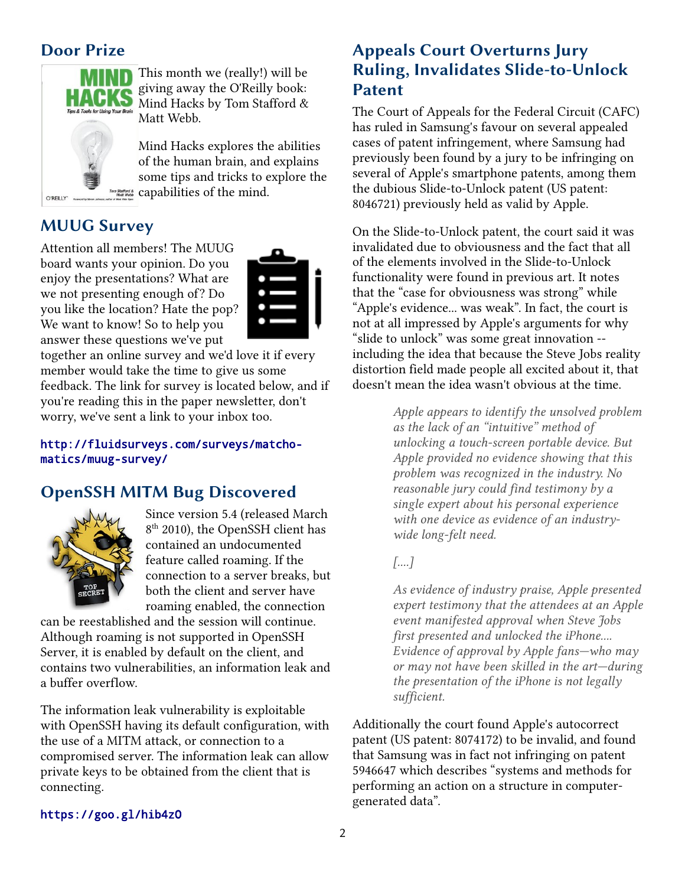## **Door Prize**



This month we (really!) will be giving away the O'Reilly book: Mind Hacks by Tom Stafford & Matt Webb.

Mind Hacks explores the abilities of the human brain, and explains some tips and tricks to explore the capabilities of the mind.

## **MUUG Survey**

O'REILLY" N

Attention all members! The MUUG board wants your opinion. Do you enjoy the presentations? What are we not presenting enough of? Do you like the location? Hate the pop? We want to know! So to help you answer these questions we've put



together an online survey and we'd love it if every member would take the time to give us some feedback. The link for survey is located below, and if you're reading this in the paper newsletter, don't worry, we've sent a link to your inbox too.

#### [http://fluidsurveys.com/surveys/matcho](http://fluidsurveys.com/surveys/matchomatics/muug-survey/)[matics/muug-survey/](http://fluidsurveys.com/surveys/matchomatics/muug-survey/)

## **OpenSSH MITM Bug Discovered**



Since version 5.4 (released March 8<sup>th</sup> 2010), the OpenSSH client has contained an undocumented feature called roaming. If the connection to a server breaks, but both the client and server have roaming enabled, the connection

can be reestablished and the session will continue. Although roaming is not supported in OpenSSH Server, it is enabled by default on the client, and contains two vulnerabilities, an information leak and a buffer overflow.

The information leak vulnerability is exploitable with OpenSSH having its default configuration, with the use of a MITM attack, or connection to a compromised server. The information leak can allow private keys to be obtained from the client that is connecting.

## **Appeals Court Overturns Jury Ruling, Invalidates Slide-to-Unlock Patent**

The Court of Appeals for the Federal Circuit (CAFC) has ruled in Samsung's favour on several appealed cases of patent infringement, where Samsung had previously been found by a jury to be infringing on several of Apple's smartphone patents, among them the dubious Slide-to-Unlock patent (US patent: 8046721) previously held as valid by Apple.

On the Slide-to-Unlock patent, the court said it was invalidated due to obviousness and the fact that all of the elements involved in the Slide-to-Unlock functionality were found in previous art. It notes that the "case for obviousness was strong" while "Apple's evidence... was weak". In fact, the court is not at all impressed by Apple's arguments for why "slide to unlock" was some great innovation - including the idea that because the Steve Jobs reality distortion field made people all excited about it, that doesn't mean the idea wasn't obvious at the time.

> *Apple appears to identify the unsolved problem as the lack of an "intuitive" method of unlocking a touch-screen portable device. But Apple provided no evidence showing that this problem was recognized in the industry. No reasonable jury could find testimony by a single expert about his personal experience with one device as evidence of an industrywide long-felt need.*

#### *[....]*

*As evidence of industry praise, Apple presented expert testimony that the attendees at an Apple event manifested approval when Steve Jobs first presented and unlocked the iPhone.... Evidence of approval by Apple fans—who may or may not have been skilled in the art—during the presentation of the iPhone is not legally sufficient.*

Additionally the court found Apple's autocorrect patent (US patent: 8074172) to be invalid, and found that Samsung was in fact not infringing on patent 5946647 which describes "systems and methods for performing an action on a structure in computergenerated data".

#### <https://goo.gl/hib4zO>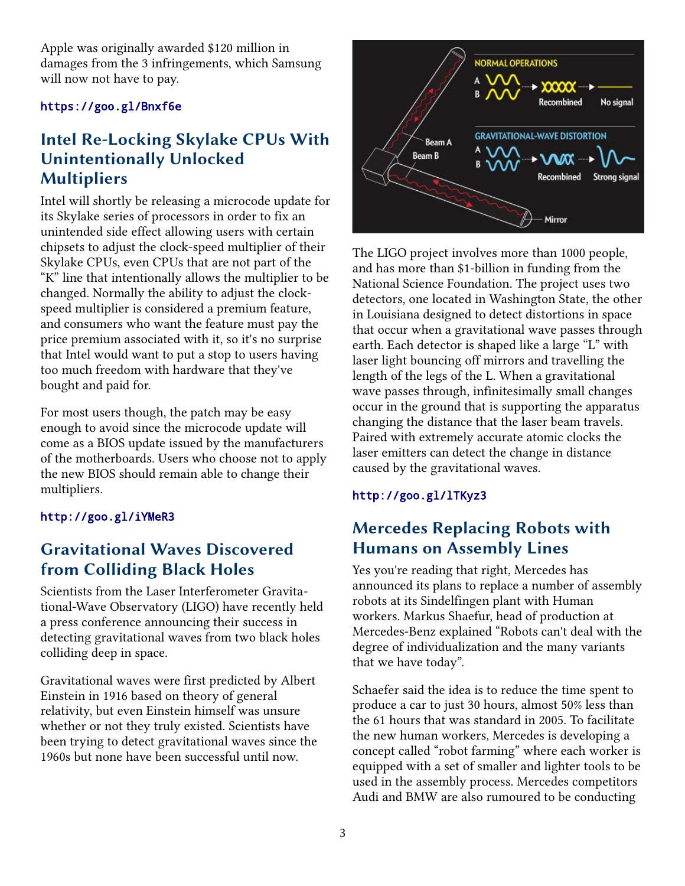Apple was originally awarded \$120 million in damages from the 3 infringements, which Samsung will now not have to pay.

#### <https://goo.gl/Bnxf6e>

## **Intel Re-Locking Skylake CPUs With Unintentionally Unlocked Multipliers**

Intel will shortly be releasing a microcode update for its Skylake series of processors in order to fix an unintended side effect allowing users with certain chipsets to adjust the clock-speed multiplier of their Skylake CPUs, even CPUs that are not part of the "K" line that intentionally allows the multiplier to be changed. Normally the ability to adjust the clockspeed multiplier is considered a premium feature, and consumers who want the feature must pay the price premium associated with it, so it's no surprise that Intel would want to put a stop to users having too much freedom with hardware that they've bought and paid for.

For most users though, the patch may be easy enough to avoid since the microcode update will come as a BIOS update issued by the manufacturers of the motherboards. Users who choose not to apply the new BIOS should remain able to change their multipliers.

#### <http://goo.gl/iYMeR3>

## **Gravitational Waves Discovered from Colliding Black Holes**

Scientists from the Laser Interferometer Gravitational-Wave Observatory (LIGO) have recently held a press conference announcing their success in detecting gravitational waves from two black holes colliding deep in space.

Gravitational waves were first predicted by Albert Einstein in 1916 based on theory of general relativity, but even Einstein himself was unsure whether or not they truly existed. Scientists have been trying to detect gravitational waves since the 1960s but none have been successful until now.



The LIGO project involves more than 1000 people, and has more than \$1-billion in funding from the National Science Foundation. The project uses two detectors, one located in Washington State, the other in Louisiana designed to detect distortions in space that occur when a gravitational wave passes through earth. Each detector is shaped like a large "L" with laser light bouncing off mirrors and travelling the length of the legs of the L. When a gravitational wave passes through, infinitesimally small changes occur in the ground that is supporting the apparatus changing the distance that the laser beam travels. Paired with extremely accurate atomic clocks the laser emitters can detect the change in distance caused by the gravitational waves.

#### <http://goo.gl/lTKyz3>

## **Mercedes Replacing Robots with Humans on Assembly Lines**

Yes you're reading that right, Mercedes has announced its plans to replace a number of assembly robots at its Sindelfingen plant with Human workers. Markus Shaefur, head of production at Mercedes-Benz explained "Robots can't deal with the degree of individualization and the many variants that we have today".

Schaefer said the idea is to reduce the time spent to produce a car to just 30 hours, almost 50% less than the 61 hours that was standard in 2005. To facilitate the new human workers, Mercedes is developing a concept called "robot farming" where each worker is equipped with a set of smaller and lighter tools to be used in the assembly process. Mercedes competitors Audi and BMW are also rumoured to be conducting